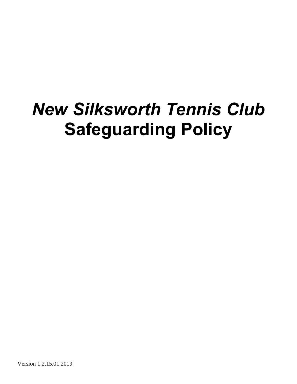# *New Silksworth Tennis Club* **Safeguarding Policy**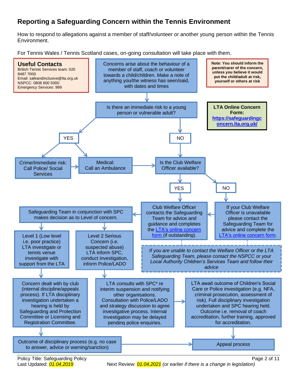## **Reporting a Safeguarding Concern within the Tennis Environment**

How to respond to allegations against a member of staff/volunteer or another young person within the Tennis Environment.

For Tennis Wales / Tennis Scotland cases, on-going consultation will take place with them.



Last Updated:  $\frac{01.04.2019}{0}$  Next Review:  $\frac{01.04.2021}{0}$  *(or earlier if there is a change in legislation)*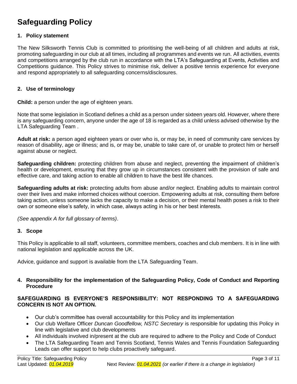# **Safeguarding Policy**

#### **1. Policy statement**

The New Silksworth Tennis Club is committed to prioritising the well-being of all children and adults at risk, promoting safeguarding in our club at all times, including all programmes and events we run. All activities, events and competitions arranged by the club run in accordance with the LTA's Safeguarding at Events, Activities and Competitions guidance. This Policy strives to minimise risk, deliver a positive tennis experience for everyone and respond appropriately to all safeguarding concerns/disclosures.

#### **2. Use of terminology**

**Child:** a person under the age of eighteen years.

Note that some legislation in Scotland defines a child as a person under sixteen years old. However, where there is any safeguarding concern, anyone under the age of 18 is regarded as a child unless advised otherwise by the LTA Safeguarding Team .

**Adult at risk:** a person aged eighteen years or over who is, or may be, in need of community care services by reason of disability, age or illness; and is, or may be, unable to take care of, or unable to protect him or herself against abuse or neglect.

**Safeguarding children:** protecting children from abuse and neglect, preventing the impairment of children's health or development, ensuring that they grow up in circumstances consistent with the provision of safe and effective care, and taking action to enable all children to have the best life chances.

**Safeguarding adults at risk:** protecting adults from abuse and/or neglect. Enabling adults to maintain control over their lives and make informed choices without coercion. Empowering adults at risk, consulting them before taking action, unless someone lacks the capacity to make a decision, or their mental health poses a risk to their own or someone else's safety, in which case, always acting in his or her best interests.

*(See appendix A for full glossary of terms)*.

#### **3. Scope**

This Policy is applicable to all staff, volunteers, committee members, coaches and club members. It is in line with national legislation and applicable across the UK.

Advice, guidance and support is available from the LTA Safeguarding Team.

#### **4. Responsibility for the implementation of the Safeguarding Policy, Code of Conduct and Reporting Procedure**

#### **SAFEGUARDING IS EVERYONE'S RESPONSIBILITY: NOT RESPONDING TO A SAFEGUARDING CONCERN IS NOT AN OPTION.**

- Our club's committee has overall accountability for this Policy and its implementation
- Our club Welfare Officer *Duncan Goodfellow, NSTC Secretary* is responsible for updating this Policy in line with legislative and club developments
- All individuals involved in/present at the club are required to adhere to the Policy and Code of Conduct
- The LTA Safeguarding Team and Tennis Scotland, Tennis Wales and Tennis Foundation Safeguarding Leads can offer support to help clubs proactively safeguard.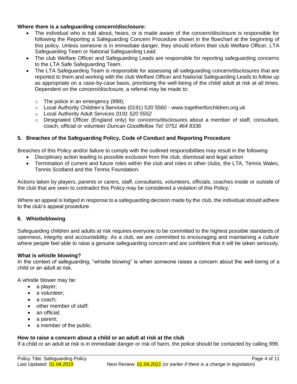#### **Where there is a safeguarding concern/disclosure:**

- The individual who is told about, hears, or is made aware of the concern/disclosure is responsible for following the Reporting a Safeguarding Concern Procedure shown in the flowchart at the beginning of this policy. Unless someone is in immediate danger, they should inform their club Welfare Officer, LTA Safeguarding Team or National Safeguarding Lead.
- The club Welfare Officer and Safeguarding Leads are responsible for reporting safeguarding concerns to the LTA Safe Safeguarding Team.
- The LTA Safeguarding Team is responsible for assessing all safeguarding concern/disclosures that are reported to them and working with the club Welfare Officer and National Safeguarding Leads to follow up as appropriate on a case-by-case basis, prioritising the well-being of the child/ adult at risk at all times. Dependent on the concern/disclosure, a referral may be made to:
	- o The police in an emergency (999);
	- o Local Authority Children's Services (0191) 520 5560 www.togetherforchildren.org.uk
	- o Local Authority Adult Services *0191 520 5552*
	- o Designated Officer (England only) for concerns/disclosures about a member of staff, consultant, coach, official or volunteer *Duncan Goodfellow Tel: 0751 464 8336*

#### **5. Breaches of the Safeguarding Policy, Code of Conduct and Reporting Procedure**

Breaches of this Policy and/or failure to comply with the outlined responsibilities may result in the following:

- Disciplinary action leading to possible exclusion from the club, dismissal and legal action
- Termination of current and future roles within the club and roles in other clubs, the LTA, Tennis Wales, Tennis Scotland and the Tennis Foundation*.*

Actions taken by players, parents or carers, staff, consultants, volunteers, officials, coaches inside or outside of the club that are seen to contradict this Policy may be considered a violation of this Policy.

Where an appeal is lodged in response to a safeguarding decision made by the club, the individual should adhere to the club's appeal procedure

#### **6. Whistleblowing**

Safeguarding children and adults at risk requires everyone to be committed to the highest possible standards of openness, integrity and accountability. As a club, we are committed to encouraging and maintaining a culture where people feel able to raise a genuine safeguarding concern and are confident that it will be taken seriously.

#### **What is whistle blowing?**

In the context of safeguarding, "whistle blowing" is when someone raises a concern about the well-being of a child or an adult at risk.

A whistle blower may be:

- a player;
- a volunteer:
- a coach;
- other member of staff;
- an official;
- a parent;
- a member of the public.

#### **How to raise a concern about a child or an adult at risk at the club**

If a child or an adult at risk is in immediate danger or risk of harm, the police should be contacted by calling 999.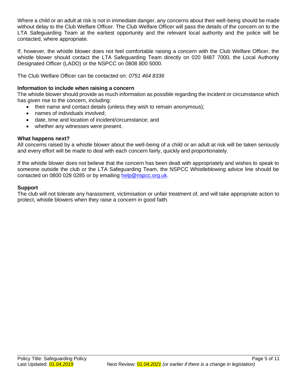Where a child or an adult at risk is not in immediate danger, any concerns about their well-being should be made without delay to the Club Welfare Officer. The Club Welfare Officer will pass the details of the concern on to the LTA Safeguarding Team at the earliest opportunity and the relevant local authority and the police will be contacted, where appropriate.

If, however, the whistle blower does not feel comfortable raising a concern with the Club Welfare Officer, the whistle blower should contact the LTA Safeguarding Team directly on 020 8487 7000, the Local Authority Designated Officer (LADO) or the NSPCC on 0808 800 5000.

The Club Welfare Officer can be contacted on: *0751 464 8336*

#### **Information to include when raising a concern**

The whistle blower should provide as much information as possible regarding the incident or circumstance which has given rise to the concern, including:

- their name and contact details (unless they wish to remain anonymous);
- names of individuals involved;
- date, time and location of incident/circumstance; and
- whether any witnesses were present.

#### **What happens next?**

All concerns raised by a whistle blower about the well-being of a child or an adult at risk will be taken seriously and every effort will be made to deal with each concern fairly, quickly and proportionately.

If the whistle blower does not believe that the concern has been dealt with appropriately and wishes to speak to someone outside the club or the LTA Safeguarding Team, the NSPCC Whistleblowing advice line should be contacted on 0800 028 0285 or by emailing [help@nspcc.org.uk.](mailto:help@nspcc.org.uk)

#### **Support**

The club will not tolerate any harassment, victimisation or unfair treatment of, and will take appropriate action to protect, whistle blowers when they raise a concern in good faith.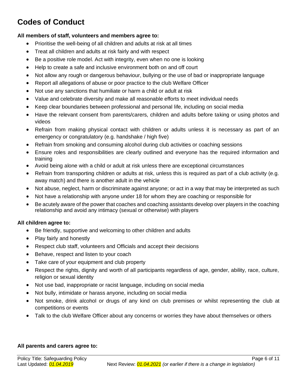# **Codes of Conduct**

#### **All members of staff, volunteers and members agree to:**

- Prioritise the well-being of all children and adults at risk at all times
- Treat all children and adults at risk fairly and with respect
- Be a positive role model. Act with integrity, even when no one is looking
- Help to create a safe and inclusive environment both on and off court
- Not allow any rough or dangerous behaviour, bullying or the use of bad or inappropriate language
- Report all allegations of abuse or poor practice to the club Welfare Officer
- Not use any sanctions that humiliate or harm a child or adult at risk
- Value and celebrate diversity and make all reasonable efforts to meet individual needs
- Keep clear boundaries between professional and personal life, including on social media
- Have the relevant consent from parents/carers, children and adults before taking or using photos and videos
- Refrain from making physical contact with children or adults unless it is necessary as part of an emergency or congratulatory (e.g. handshake / high five)
- Refrain from smoking and consuming alcohol during club activities or coaching sessions
- Ensure roles and responsibilities are clearly outlined and everyone has the required information and training
- Avoid being alone with a child or adult at risk unless there are exceptional circumstances
- Refrain from transporting children or adults at risk, unless this is required as part of a club activity (e.g. away match) and there is another adult in the vehicle
- Not abuse, neglect, harm or discriminate against anyone; or act in a way that may be interpreted as such
- Not have a relationship with anyone under 18 for whom they are coaching or responsible for
- Be acutely aware of the power that coaches and coaching assistants develop over players in the coaching relationship and avoid any intimacy (sexual or otherwise) with players

#### **All children agree to:**

- Be friendly, supportive and welcoming to other children and adults
- Play fairly and honestly
- Respect club staff, volunteers and Officials and accept their decisions
- Behave, respect and listen to your coach
- Take care of your equipment and club property
- Respect the rights, dignity and worth of all participants regardless of age, gender, ability, race, culture, religion or sexual identity
- Not use bad, inappropriate or racist language, including on social media
- Not bully, intimidate or harass anyone, including on social media
- Not smoke, drink alcohol or drugs of any kind on club premises or whilst representing the club at competitions or events
- Talk to the club Welfare Officer about any concerns or worries they have about themselves or others

#### **All parents and carers agree to:**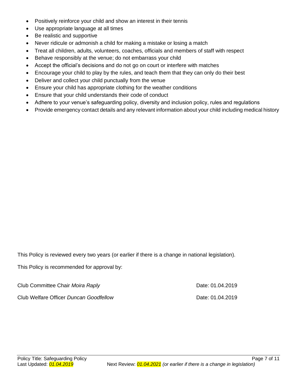- Positively reinforce your child and show an interest in their tennis
- Use appropriate language at all times
- Be realistic and supportive
- Never ridicule or admonish a child for making a mistake or losing a match
- Treat all children, adults, volunteers, coaches, officials and members of staff with respect
- Behave responsibly at the venue; do not embarrass your child
- Accept the official's decisions and do not go on court or interfere with matches
- Encourage your child to play by the rules, and teach them that they can only do their best
- Deliver and collect your child punctually from the venue
- Ensure your child has appropriate clothing for the weather conditions
- Ensure that your child understands their code of conduct
- Adhere to your venue's safeguarding policy, diversity and inclusion policy, rules and regulations
- Provide emergency contact details and any relevant information about your child including medical history

This Policy is reviewed every two years (or earlier if there is a change in national legislation).

This Policy is recommended for approval by:

Club Committee Chair *Moira Raply* **Date: 01.04.2019** Date: 01.04.2019

Club Welfare Officer *Duncan Goodfellow* Date: 01.04.2019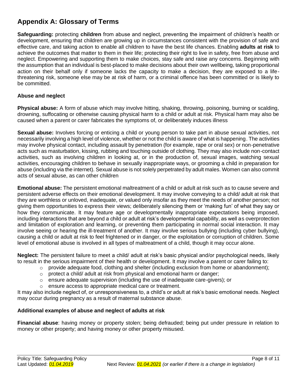# **Appendix A: Glossary of Terms**

**Safeguarding:** protecting **children** from abuse and neglect, preventing the impairment of children's health or development, ensuring that children are growing up in circumstances consistent with the provision of safe and effective care, and taking action to enable all children to have the best life chances. Enabling **adults at risk** to achieve the outcomes that matter to them in their life; protecting their right to live in safety, free from abuse and neglect. Empowering and supporting them to make choices, stay safe and raise any concerns. Beginning with the assumption that an individual is best-placed to make decisions about their own wellbeing, taking proportional action on their behalf only if someone lacks the capacity to make a decision, they are exposed to a lifethreatening risk, someone else may be at risk of harm, or a criminal offence has been committed or is likely to be committed.

#### **Abuse and neglect**

**Physical abuse:** A form of abuse which may involve hitting, shaking, throwing, poisoning, burning or scalding, drowning, suffocating or otherwise causing physical harm to a child or adult at risk. Physical harm may also be caused when a parent or carer fabricates the symptoms of, or deliberately induces illness

**Sexual abuse:** Involves forcing or enticing a child or young person to take part in abuse sexual activities, not necessarily involving a high level of violence, whether or not the child is aware of what is happening. The activities may involve physical contact, including assault by penetration (for example, rape or oral sex) or non-penetrative acts such as masturbation, kissing, rubbing and touching outside of clothing. They may also include non-contact activities, such as involving children in looking at, or in the production of, sexual images, watching sexual activities, encouraging children to behave in sexually inappropriate ways, or grooming a child in preparation for abuse (including via the internet). Sexual abuse is not solely perpetrated by adult males. Women can also commit acts of sexual abuse, as can other children

**Emotional abuse:** The persistent emotional maltreatment of a child or adult at risk such as to cause severe and persistent adverse effects on their emotional development. It may involve conveying to a child/ adult at risk that they are worthless or unloved, inadequate, or valued only insofar as they meet the needs of another person; not giving them opportunities to express their views; deliberately silencing them or 'making fun' of what they say or how they communicate. It may feature age or developmentally inappropriate expectations being imposed, including interactions that are beyond a child or adult at risk's developmental capability, as well as overprotection and limitation of exploration and learning, or preventing them participating in normal social interaction. It may involve seeing or hearing the ill-treatment of another. It may involve serious bullying (including cyber bullying), causing a child or adult at risk to feel frightened or in danger, or the exploitation or corruption of children. Some level of emotional abuse is involved in all types of maltreatment of a child, though it may occur alone.

**Neglect:** The persistent failure to meet a child/ adult at risk's basic physical and/or psychological needs, likely to result in the serious impairment of their health or development. It may involve a parent or carer failing to:

- $\circ$  provide adequate food, clothing and shelter (including exclusion from home or abandonment);
- $\circ$  protect a child/ adult at risk from physical and emotional harm or danger;
- $\circ$  ensure adequate supervision (including the use of inadequate care-givers); or
- o ensure access to appropriate medical care or treatment.

It may also include neglect of, or unresponsiveness to, a child's or adult at risk's basic emotional needs. Neglect may occur during pregnancy as a result of maternal substance abuse.

#### **Additional examples of abuse and neglect of adults at risk**

**Financial abuse**: having money or property stolen; being defrauded; being put under pressure in relation to money or other property; and having money or other property misused.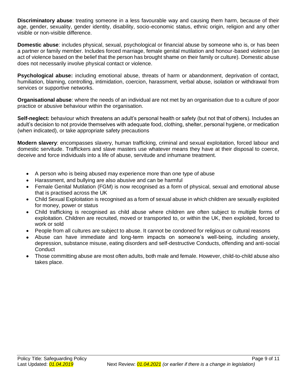**Discriminatory abuse**: treating someone in a less favourable way and causing them harm, because of their age, gender, sexuality, gender identity, disability, socio-economic status, ethnic origin, religion and any other visible or non-visible difference.

**Domestic abuse**: includes physical, sexual, psychological or financial abuse by someone who is, or has been a partner or family member. Includes forced marriage, female genital mutilation and honour-based violence (an act of violence based on the belief that the person has brought shame on their family or culture). Domestic abuse does not necessarily involve physical contact or violence.

**Psychological abuse:** including emotional abuse, threats of harm or abandonment, deprivation of contact, humiliation, blaming, controlling, intimidation, coercion, harassment, verbal abuse, isolation or withdrawal from services or supportive networks.

**Organisational abuse**: where the needs of an individual are not met by an organisation due to a culture of poor practice or abusive behaviour within the organisation.

**Self-neglect:** behaviour which threatens an adult's personal health or safety (but not that of others). Includes an adult's decision to not provide themselves with adequate food, clothing, shelter, personal hygiene, or medication (when indicated), or take appropriate safety precautions

**Modern slavery**: encompasses slavery, human trafficking, criminal and sexual exploitation, forced labour and domestic servitude. Traffickers and slave masters use whatever means they have at their disposal to coerce, deceive and force individuals into a life of abuse, servitude and inhumane treatment.

- A person who is being abused may experience more than one type of abuse
- Harassment, and bullying are also abusive and can be harmful
- Female Genital Mutilation (FGM) is now recognised as a form of physical, sexual and emotional abuse that is practised across the UK
- Child Sexual Exploitation is recognised as a form of sexual abuse in which children are sexually exploited for money, power or status
- Child trafficking is recognised as child abuse where children are often subject to multiple forms of exploitation. Children are recruited, moved or transported to, or within the UK, then exploited, forced to work or sold
- People from all cultures are subject to abuse. It cannot be condoned for religious or cultural reasons
- Abuse can have immediate and long-term impacts on someone's well-being, including anxiety, depression, substance misuse, eating disorders and self-destructive Conducts, offending and anti-social **Conduct**
- Those committing abuse are most often adults, both male and female. However, child-to-child abuse also takes place.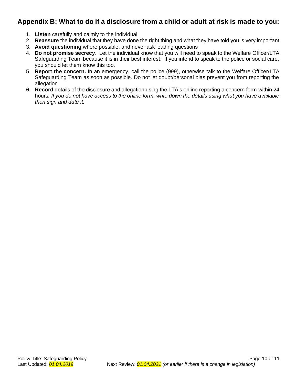### **Appendix B: What to do if a disclosure from a child or adult at risk is made to you:**

- 1. **Listen** carefully and calmly to the individual
- 2. **Reassure** the individual that they have done the right thing and what they have told you is very important
- 3. **Avoid questioning** where possible, and never ask leading questions
- 4. **Do not promise secrecy**. Let the individual know that you will need to speak to the Welfare Officer/LTA Safeguarding Team because it is in their best interest. If you intend to speak to the police or social care, you should let them know this too.
- 5. **Report the concern.** In an emergency, call the police (999), otherwise talk to the Welfare Officer/LTA Safeguarding Team as soon as possible. Do not let doubt/personal bias prevent you from reporting the allegation
- **6. Record** details of the disclosure and allegation using the LTA's online reporting a concern form within 24 hours*. If you do not have access to the online form, write down the details using what you have available then sign and date it.*